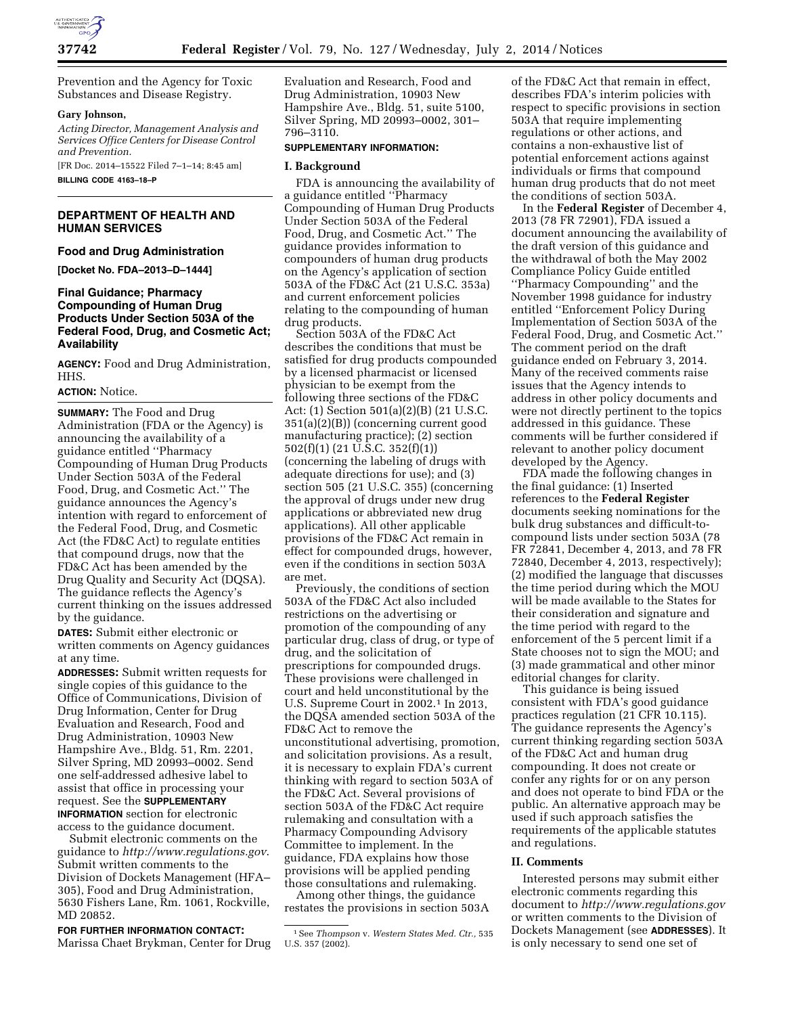

Prevention and the Agency for Toxic Substances and Disease Registry.

### **Gary Johnson,**

*Acting Director, Management Analysis and Services Office Centers for Disease Control and Prevention.* 

[FR Doc. 2014–15522 Filed 7–1–14; 8:45 am] **BILLING CODE 4163–18–P** 

# **DEPARTMENT OF HEALTH AND HUMAN SERVICES**

**Food and Drug Administration** 

**[Docket No. FDA–2013–D–1444]** 

# **Final Guidance; Pharmacy Compounding of Human Drug Products Under Section 503A of the Federal Food, Drug, and Cosmetic Act; Availability**

**AGENCY:** Food and Drug Administration, HHS.

### **ACTION:** Notice.

**SUMMARY:** The Food and Drug Administration (FDA or the Agency) is announcing the availability of a guidance entitled ''Pharmacy Compounding of Human Drug Products Under Section 503A of the Federal Food, Drug, and Cosmetic Act.'' The guidance announces the Agency's intention with regard to enforcement of the Federal Food, Drug, and Cosmetic Act (the FD&C Act) to regulate entities that compound drugs, now that the FD&C Act has been amended by the Drug Quality and Security Act (DQSA). The guidance reflects the Agency's current thinking on the issues addressed by the guidance.

**DATES:** Submit either electronic or written comments on Agency guidances at any time.

**ADDRESSES:** Submit written requests for single copies of this guidance to the Office of Communications, Division of Drug Information, Center for Drug Evaluation and Research, Food and Drug Administration, 10903 New Hampshire Ave., Bldg. 51, Rm. 2201, Silver Spring, MD 20993–0002. Send one self-addressed adhesive label to assist that office in processing your request. See the **SUPPLEMENTARY INFORMATION** section for electronic access to the guidance document.

Submit electronic comments on the guidance to *<http://www.regulations.gov>*. Submit written comments to the Division of Dockets Management (HFA– 305), Food and Drug Administration, 5630 Fishers Lane, Rm. 1061, Rockville, MD 20852.

**FOR FURTHER INFORMATION CONTACT:**  Marissa Chaet Brykman, Center for Drug Evaluation and Research, Food and Drug Administration, 10903 New Hampshire Ave., Bldg. 51, suite 5100, Silver Spring, MD 20993–0002, 301– 796–3110.

# **SUPPLEMENTARY INFORMATION:**

## **I. Background**

FDA is announcing the availability of a guidance entitled ''Pharmacy Compounding of Human Drug Products Under Section 503A of the Federal Food, Drug, and Cosmetic Act.'' The guidance provides information to compounders of human drug products on the Agency's application of section 503A of the FD&C Act (21 U.S.C. 353a) and current enforcement policies relating to the compounding of human drug products.

Section 503A of the FD&C Act describes the conditions that must be satisfied for drug products compounded by a licensed pharmacist or licensed physician to be exempt from the following three sections of the FD&C Act: (1) Section 501(a)(2)(B) (21 U.S.C. 351(a)(2)(B)) (concerning current good manufacturing practice); (2) section 502(f)(1) (21 U.S.C. 352(f)(1)) (concerning the labeling of drugs with adequate directions for use); and (3) section 505 (21 U.S.C. 355) (concerning the approval of drugs under new drug applications or abbreviated new drug applications). All other applicable provisions of the FD&C Act remain in effect for compounded drugs, however, even if the conditions in section 503A are met.

Previously, the conditions of section 503A of the FD&C Act also included restrictions on the advertising or promotion of the compounding of any particular drug, class of drug, or type of drug, and the solicitation of prescriptions for compounded drugs. These provisions were challenged in court and held unconstitutional by the U.S. Supreme Court in 2002.<sup>1</sup> In 2013, the DQSA amended section 503A of the FD&C Act to remove the unconstitutional advertising, promotion, and solicitation provisions. As a result, it is necessary to explain FDA's current thinking with regard to section 503A of the FD&C Act. Several provisions of section 503A of the FD&C Act require rulemaking and consultation with a Pharmacy Compounding Advisory Committee to implement. In the guidance, FDA explains how those provisions will be applied pending those consultations and rulemaking.

Among other things, the guidance restates the provisions in section 503A

of the FD&C Act that remain in effect, describes FDA's interim policies with respect to specific provisions in section 503A that require implementing regulations or other actions, and contains a non-exhaustive list of potential enforcement actions against individuals or firms that compound human drug products that do not meet the conditions of section 503A.

In the **Federal Register** of December 4, 2013 (78 FR 72901), FDA issued a document announcing the availability of the draft version of this guidance and the withdrawal of both the May 2002 Compliance Policy Guide entitled ''Pharmacy Compounding'' and the November 1998 guidance for industry entitled ''Enforcement Policy During Implementation of Section 503A of the Federal Food, Drug, and Cosmetic Act.'' The comment period on the draft guidance ended on February 3, 2014. Many of the received comments raise issues that the Agency intends to address in other policy documents and were not directly pertinent to the topics addressed in this guidance. These comments will be further considered if relevant to another policy document developed by the Agency.

FDA made the following changes in the final guidance: (1) Inserted references to the **Federal Register**  documents seeking nominations for the bulk drug substances and difficult-tocompound lists under section 503A (78 FR 72841, December 4, 2013, and 78 FR 72840, December 4, 2013, respectively); (2) modified the language that discusses the time period during which the MOU will be made available to the States for their consideration and signature and the time period with regard to the enforcement of the 5 percent limit if a State chooses not to sign the MOU; and (3) made grammatical and other minor editorial changes for clarity.

This guidance is being issued consistent with FDA's good guidance practices regulation (21 CFR 10.115). The guidance represents the Agency's current thinking regarding section 503A of the FD&C Act and human drug compounding. It does not create or confer any rights for or on any person and does not operate to bind FDA or the public. An alternative approach may be used if such approach satisfies the requirements of the applicable statutes and regulations.

## **II. Comments**

Interested persons may submit either electronic comments regarding this document to *<http://www.regulations.gov>* or written comments to the Division of Dockets Management (see **ADDRESSES**). It is only necessary to send one set of

<sup>1</sup>See *Thompson* v. *Western States Med. Ctr.,* 535 U.S. 357 (2002).